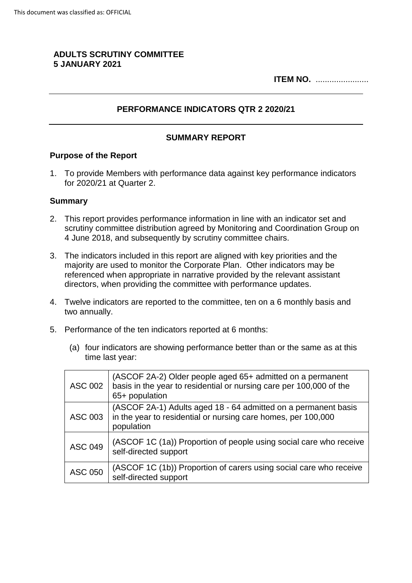## **ADULTS SCRUTINY COMMITTEE 5 JANUARY 2021**

**ITEM NO.** .......................

## **PERFORMANCE INDICATORS QTR 2 2020/21**

## **SUMMARY REPORT**

#### **Purpose of the Report**

1. To provide Members with performance data against key performance indicators for 2020/21 at Quarter 2.

#### **Summary**

- 2. This report provides performance information in line with an indicator set and scrutiny committee distribution agreed by Monitoring and Coordination Group on 4 June 2018, and subsequently by scrutiny committee chairs.
- 3. The indicators included in this report are aligned with key priorities and the majority are used to monitor the Corporate Plan. Other indicators may be referenced when appropriate in narrative provided by the relevant assistant directors, when providing the committee with performance updates.
- 4. Twelve indicators are reported to the committee, ten on a 6 monthly basis and two annually.
- 5. Performance of the ten indicators reported at 6 months:
	- (a) four indicators are showing performance better than or the same as at this time last year:

| ASC 002        | (ASCOF 2A-2) Older people aged 65+ admitted on a permanent<br>basis in the year to residential or nursing care per 100,000 of the<br>65+ population |
|----------------|-----------------------------------------------------------------------------------------------------------------------------------------------------|
| ASC 003        | (ASCOF 2A-1) Adults aged 18 - 64 admitted on a permanent basis<br>in the year to residential or nursing care homes, per 100,000<br>population       |
| <b>ASC 049</b> | (ASCOF 1C (1a)) Proportion of people using social care who receive<br>self-directed support                                                         |
| <b>ASC 050</b> | (ASCOF 1C (1b)) Proportion of carers using social care who receive<br>self-directed support                                                         |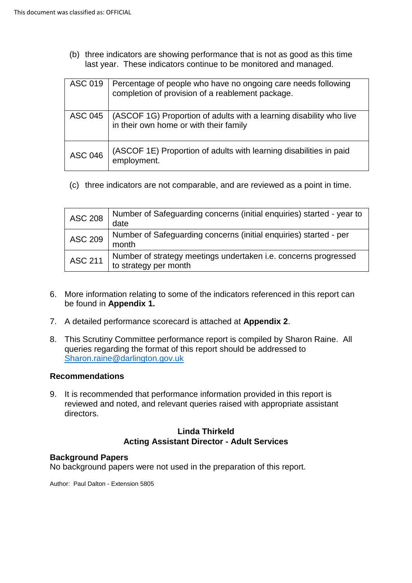(b) three indicators are showing performance that is not as good as this time last year. These indicators continue to be monitored and managed.

| <b>ASC 019</b> | Percentage of people who have no ongoing care needs following<br>completion of provision of a reablement package. |
|----------------|-------------------------------------------------------------------------------------------------------------------|
| ASC 045        | (ASCOF 1G) Proportion of adults with a learning disability who live<br>in their own home or with their family     |
| <b>ASC 046</b> | (ASCOF 1E) Proportion of adults with learning disabilities in paid<br>employment.                                 |

(c) three indicators are not comparable, and are reviewed as a point in time.

| <b>ASC 208</b> | Number of Safeguarding concerns (initial enquiries) started - year to<br>date            |
|----------------|------------------------------------------------------------------------------------------|
| <b>ASC 209</b> | Number of Safeguarding concerns (initial enquiries) started - per<br>month               |
| <b>ASC 211</b> | Number of strategy meetings undertaken i.e. concerns progressed<br>to strategy per month |

- 6. More information relating to some of the indicators referenced in this report can be found in **Appendix 1.**
- 7. A detailed performance scorecard is attached at **Appendix 2**.
- 8. This Scrutiny Committee performance report is compiled by Sharon Raine. All queries regarding the format of this report should be addressed to Sharon.raine@darlington.gov.uk

#### **Recommendations**

9. It is recommended that performance information provided in this report is reviewed and noted, and relevant queries raised with appropriate assistant directors.

## **Linda Thirkeld Acting Assistant Director - Adult Services**

#### **Background Papers**

No background papers were not used in the preparation of this report.

Author: Paul Dalton - Extension 5805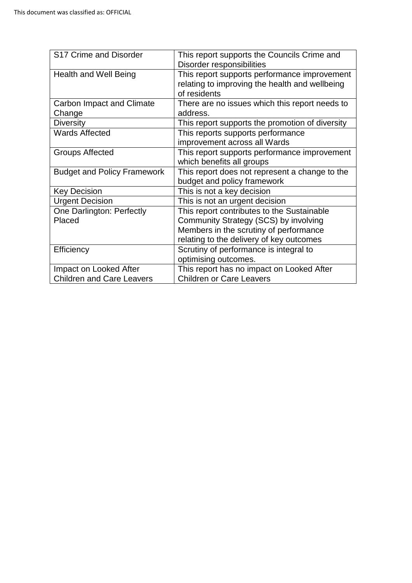| S17 Crime and Disorder             | This report supports the Councils Crime and<br>Disorder responsibilities                                       |
|------------------------------------|----------------------------------------------------------------------------------------------------------------|
| <b>Health and Well Being</b>       | This report supports performance improvement<br>relating to improving the health and wellbeing<br>of residents |
| Carbon Impact and Climate          | There are no issues which this report needs to                                                                 |
| Change                             | address.                                                                                                       |
| <b>Diversity</b>                   | This report supports the promotion of diversity                                                                |
| <b>Wards Affected</b>              | This reports supports performance                                                                              |
|                                    | improvement across all Wards                                                                                   |
| <b>Groups Affected</b>             | This report supports performance improvement                                                                   |
|                                    | which benefits all groups                                                                                      |
| <b>Budget and Policy Framework</b> | This report does not represent a change to the                                                                 |
|                                    | budget and policy framework                                                                                    |
| <b>Key Decision</b>                | This is not a key decision                                                                                     |
| <b>Urgent Decision</b>             | This is not an urgent decision                                                                                 |
| <b>One Darlington: Perfectly</b>   | This report contributes to the Sustainable                                                                     |
| Placed                             | Community Strategy (SCS) by involving                                                                          |
|                                    | Members in the scrutiny of performance                                                                         |
|                                    | relating to the delivery of key outcomes                                                                       |
| Efficiency                         | Scrutiny of performance is integral to<br>optimising outcomes.                                                 |
| Impact on Looked After             | This report has no impact on Looked After                                                                      |
| <b>Children and Care Leavers</b>   | <b>Children or Care Leavers</b>                                                                                |